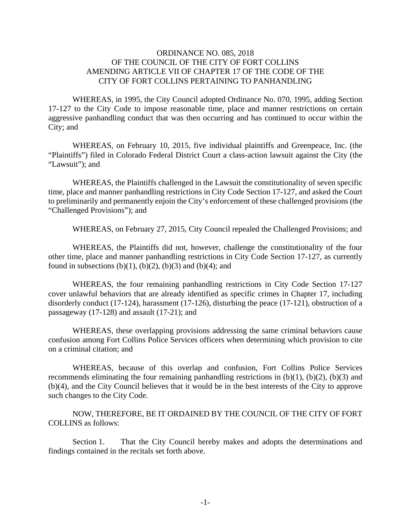## ORDINANCE NO. 085, 2018 OF THE COUNCIL OF THE CITY OF FORT COLLINS AMENDING ARTICLE VII OF CHAPTER 17 OF THE CODE OF THE CITY OF FORT COLLINS PERTAINING TO PANHANDLING

WHEREAS, in 1995, the City Council adopted Ordinance No. 070, 1995, adding Section 17-127 to the City Code to impose reasonable time, place and manner restrictions on certain aggressive panhandling conduct that was then occurring and has continued to occur within the City; and

 WHEREAS, on February 10, 2015, five individual plaintiffs and Greenpeace, Inc. (the "Plaintiffs") filed in Colorado Federal District Court a class-action lawsuit against the City (the "Lawsuit"); and

 WHEREAS, the Plaintiffs challenged in the Lawsuit the constitutionality of seven specific time, place and manner panhandling restrictions in City Code Section 17-127, and asked the Court to preliminarily and permanently enjoin the City's enforcement of these challenged provisions (the "Challenged Provisions"); and

WHEREAS, on February 27, 2015, City Council repealed the Challenged Provisions; and

 WHEREAS, the Plaintiffs did not, however, challenge the constitutionality of the four other time, place and manner panhandling restrictions in City Code Section 17-127, as currently found in subsections  $(b)(1)$ ,  $(b)(2)$ ,  $(b)(3)$  and  $(b)(4)$ ; and

 WHEREAS, the four remaining panhandling restrictions in City Code Section 17-127 cover unlawful behaviors that are already identified as specific crimes in Chapter 17, including disorderly conduct (17-124), harassment (17-126), disturbing the peace (17-121), obstruction of a passageway (17-128) and assault (17-21); and

 WHEREAS, these overlapping provisions addressing the same criminal behaviors cause confusion among Fort Collins Police Services officers when determining which provision to cite on a criminal citation; and

 WHEREAS, because of this overlap and confusion, Fort Collins Police Services recommends eliminating the four remaining panhandling restrictions in  $(b)(1)$ ,  $(b)(2)$ ,  $(b)(3)$  and (b)(4), and the City Council believes that it would be in the best interests of the City to approve such changes to the City Code.

 NOW, THEREFORE, BE IT ORDAINED BY THE COUNCIL OF THE CITY OF FORT COLLINS as follows:

 Section 1. That the City Council hereby makes and adopts the determinations and findings contained in the recitals set forth above.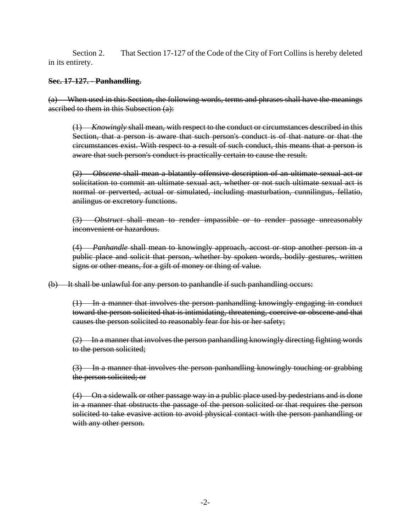Section 2. That Section 17-127 of the Code of the City of Fort Collins is hereby deleted in its entirety.

## **Sec. 17-127. - Panhandling.**

(a) When used in this Section, the following words, terms and phrases shall have the meanings ascribed to them in this Subsection (a):

 (1) *Knowingly* shall mean, with respect to the conduct or circumstances described in this Section, that a person is aware that such person's conduct is of that nature or that the circumstances exist. With respect to a result of such conduct, this means that a person is aware that such person's conduct is practically certain to cause the result.

 (2) *Obscene* shall mean a blatantly offensive description of an ultimate sexual act or solicitation to commit an ultimate sexual act, whether or not such ultimate sexual act is normal or perverted, actual or simulated, including masturbation, cunnilingus, fellatio, anilingus or excretory functions.

 (3) *Obstruct* shall mean to render impassible or to render passage unreasonably inconvenient or hazardous.

 (4) *Panhandle* shall mean to knowingly approach, accost or stop another person in a public place and solicit that person, whether by spoken words, bodily gestures, written signs or other means, for a gift of money or thing of value.

(b) It shall be unlawful for any person to panhandle if such panhandling occurs:

 (1) In a manner that involves the person panhandling knowingly engaging in conduct toward the person solicited that is intimidating, threatening, coercive or obscene and that causes the person solicited to reasonably fear for his or her safety;

 $(2)$  In a manner that involves the person panhandling knowingly directing fighting words to the person solicited;

 (3) In a manner that involves the person panhandling knowingly touching or grabbing the person solicited; or

 (4) On a sidewalk or other passage way in a public place used by pedestrians and is done in a manner that obstructs the passage of the person solicited or that requires the person solicited to take evasive action to avoid physical contact with the person panhandling or with any other person.